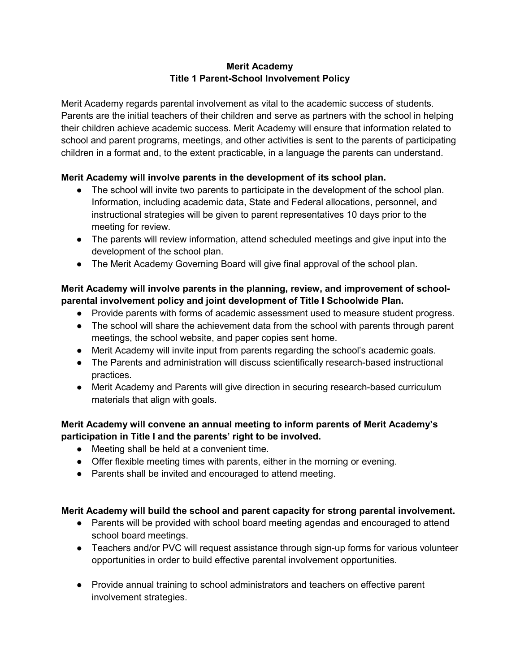## **Merit Academy Title 1 Parent-School Involvement Policy**

Merit Academy regards parental involvement as vital to the academic success of students. Parents are the initial teachers of their children and serve as partners with the school in helping their children achieve academic success. Merit Academy will ensure that information related to school and parent programs, meetings, and other activities is sent to the parents of participating children in a format and, to the extent practicable, in a language the parents can understand.

## **Merit Academy will involve parents in the development of its school plan.**

- The school will invite two parents to participate in the development of the school plan. Information, including academic data, State and Federal allocations, personnel, and instructional strategies will be given to parent representatives 10 days prior to the meeting for review.
- The parents will review information, attend scheduled meetings and give input into the development of the school plan.
- The Merit Academy Governing Board will give final approval of the school plan.

### **Merit Academy will involve parents in the planning, review, and improvement of schoolparental involvement policy and joint development of Title I Schoolwide Plan.**

- Provide parents with forms of academic assessment used to measure student progress.
- The school will share the achievement data from the school with parents through parent meetings, the school website, and paper copies sent home.
- Merit Academy will invite input from parents regarding the school's academic goals.
- The Parents and administration will discuss scientifically research-based instructional practices.
- Merit Academy and Parents will give direction in securing research-based curriculum materials that align with goals.

# **Merit Academy will convene an annual meeting to inform parents of Merit Academy's participation in Title I and the parents' right to be involved.**

- Meeting shall be held at a convenient time.
- Offer flexible meeting times with parents, either in the morning or evening.
- Parents shall be invited and encouraged to attend meeting.

### **Merit Academy will build the school and parent capacity for strong parental involvement.**

- Parents will be provided with school board meeting agendas and encouraged to attend school board meetings.
- Teachers and/or PVC will request assistance through sign-up forms for various volunteer opportunities in order to build effective parental involvement opportunities.
- Provide annual training to school administrators and teachers on effective parent involvement strategies.